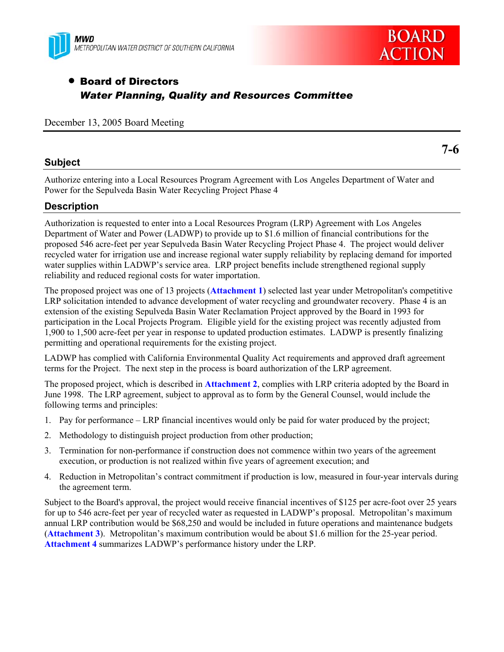



**7-6** 

### • Board of Directors *Water Planning, Quality and Resources Committee*

December 13, 2005 Board Meeting

#### **Subject**

Authorize entering into a Local Resources Program Agreement with Los Angeles Department of Water and Power for the Sepulveda Basin Water Recycling Project Phase 4

#### **Description**

Authorization is requested to enter into a Local Resources Program (LRP) Agreement with Los Angeles Department of Water and Power (LADWP) to provide up to \$1.6 million of financial contributions for the proposed 546 acre-feet per year Sepulveda Basin Water Recycling Project Phase 4. The project would deliver recycled water for irrigation use and increase regional water supply reliability by replacing demand for imported water supplies within LADWP's service area. LRP project benefits include strengthened regional supply reliability and reduced regional costs for water importation.

The proposed project was one of 13 projects (**Attachment 1**) selected last year under Metropolitan's competitive LRP solicitation intended to advance development of water recycling and groundwater recovery. Phase 4 is an extension of the existing Sepulveda Basin Water Reclamation Project approved by the Board in 1993 for participation in the Local Projects Program. Eligible yield for the existing project was recently adjusted from 1,900 to 1,500 acre-feet per year in response to updated production estimates. LADWP is presently finalizing permitting and operational requirements for the existing project.

LADWP has complied with California Environmental Quality Act requirements and approved draft agreement terms for the Project. The next step in the process is board authorization of the LRP agreement.

The proposed project, which is described in **Attachment 2**, complies with LRP criteria adopted by the Board in June 1998. The LRP agreement, subject to approval as to form by the General Counsel, would include the following terms and principles:

- 1. Pay for performance LRP financial incentives would only be paid for water produced by the project;
- 2. Methodology to distinguish project production from other production;
- 3. Termination for non-performance if construction does not commence within two years of the agreement execution, or production is not realized within five years of agreement execution; and
- 4. Reduction in Metropolitan's contract commitment if production is low, measured in four-year intervals during the agreement term.

Subject to the Board's approval, the project would receive financial incentives of \$125 per acre-foot over 25 years for up to 546 acre-feet per year of recycled water as requested in LADWP's proposal. Metropolitan's maximum annual LRP contribution would be \$68,250 and would be included in future operations and maintenance budgets (**Attachment 3**). Metropolitan's maximum contribution would be about \$1.6 million for the 25-year period. **Attachment 4** summarizes LADWP's performance history under the LRP.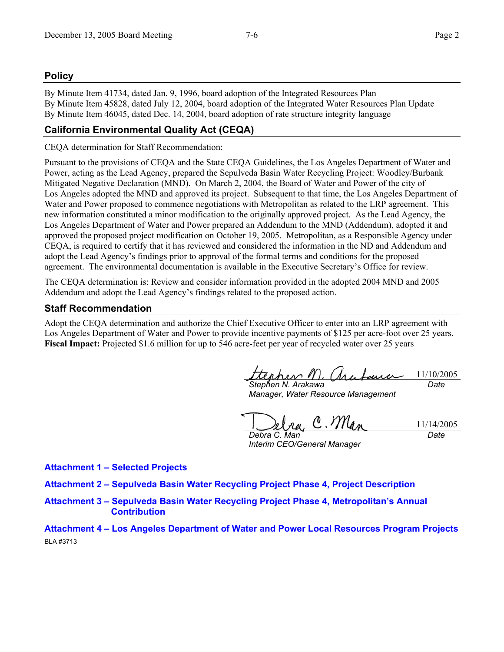#### **Policy**

By Minute Item 41734, dated Jan. 9, 1996, board adoption of the Integrated Resources Plan By Minute Item 45828, dated July 12, 2004, board adoption of the Integrated Water Resources Plan Update By Minute Item 46045, dated Dec. 14, 2004, board adoption of rate structure integrity language

#### **California Environmental Quality Act (CEQA)**

CEQA determination for Staff Recommendation:

Pursuant to the provisions of CEQA and the State CEQA Guidelines, the Los Angeles Department of Water and Power, acting as the Lead Agency, prepared the Sepulveda Basin Water Recycling Project: Woodley/Burbank Mitigated Negative Declaration (MND). On March 2, 2004, the Board of Water and Power of the city of Los Angeles adopted the MND and approved its project. Subsequent to that time, the Los Angeles Department of Water and Power proposed to commence negotiations with Metropolitan as related to the LRP agreement. This new information constituted a minor modification to the originally approved project. As the Lead Agency, the Los Angeles Department of Water and Power prepared an Addendum to the MND (Addendum), adopted it and approved the proposed project modification on October 19, 2005. Metropolitan, as a Responsible Agency under CEQA, is required to certify that it has reviewed and considered the information in the ND and Addendum and adopt the Lead Agency's findings prior to approval of the formal terms and conditions for the proposed agreement. The environmental documentation is available in the Executive Secretary's Office for review.

The CEQA determination is: Review and consider information provided in the adopted 2004 MND and 2005 Addendum and adopt the Lead Agency's findings related to the proposed action.

#### **Staff Recommendation**

Adopt the CEQA determination and authorize the Chief Executive Officer to enter into an LRP agreement with Los Angeles Department of Water and Power to provide incentive payments of \$125 per acre-foot over 25 years. **Fiscal Impact:** Projected \$1.6 million for up to 546 acre-feet per year of recycled water over 25 years

pher / 11/10/2005 *Stephen N. Arakawa Date* 

*Manager, Water Resource Management* 

 $C.M$ 11/14/2005

*Debra C. Man Interim CEO/General Manager* 

*Date* 

**Attachment 1 – Selected Projects** 

**Attachment 2 – Sepulveda Basin Water Recycling Project Phase 4, Project Description** 

**Attachment 3 – Sepulveda Basin Water Recycling Project Phase 4, Metropolitan's Annual Contribution** 

**Attachment 4 – Los Angeles Department of Water and Power Local Resources Program Projects**  BLA #3713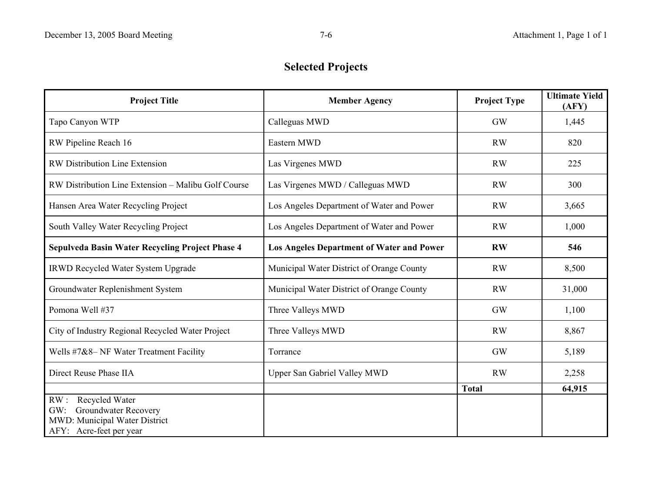## **Selected Projects**

| <b>Project Title</b>                                | <b>Member Agency</b>                             | <b>Project Type</b> | <b>Ultimate Yield</b><br>(AFY) |
|-----------------------------------------------------|--------------------------------------------------|---------------------|--------------------------------|
| Tapo Canyon WTP                                     | Calleguas MWD                                    | GW                  | 1,445                          |
| RW Pipeline Reach 16                                | Eastern MWD                                      | <b>RW</b>           | 820                            |
| <b>RW Distribution Line Extension</b>               | Las Virgenes MWD                                 | <b>RW</b>           | 225                            |
| RW Distribution Line Extension – Malibu Golf Course | Las Virgenes MWD / Calleguas MWD                 | <b>RW</b>           | 300                            |
| Hansen Area Water Recycling Project                 | Los Angeles Department of Water and Power        | <b>RW</b>           | 3,665                          |
| South Valley Water Recycling Project                | Los Angeles Department of Water and Power        | <b>RW</b>           | 1,000                          |
| Sepulveda Basin Water Recycling Project Phase 4     | <b>Los Angeles Department of Water and Power</b> | <b>RW</b>           | 546                            |
| <b>IRWD Recycled Water System Upgrade</b>           | Municipal Water District of Orange County        | <b>RW</b>           | 8,500                          |
| Groundwater Replenishment System                    | Municipal Water District of Orange County        | <b>RW</b>           | 31,000                         |
| Pomona Well #37                                     | Three Valleys MWD                                | GW                  | 1,100                          |
| City of Industry Regional Recycled Water Project    | Three Valleys MWD                                | <b>RW</b>           | 8,867                          |
| Wells #7&8- NF Water Treatment Facility             | Torrance                                         | <b>GW</b>           | 5,189                          |
| Direct Reuse Phase IIA                              | Upper San Gabriel Valley MWD                     | <b>RW</b>           | 2,258                          |
|                                                     |                                                  | <b>Total</b>        | 64,915                         |
| Recycled Water<br>RW:                               |                                                  |                     |                                |
| <b>Groundwater Recovery</b><br>GW:                  |                                                  |                     |                                |
| MWD: Municipal Water District                       |                                                  |                     |                                |
| AFY: Acre-feet per year                             |                                                  |                     |                                |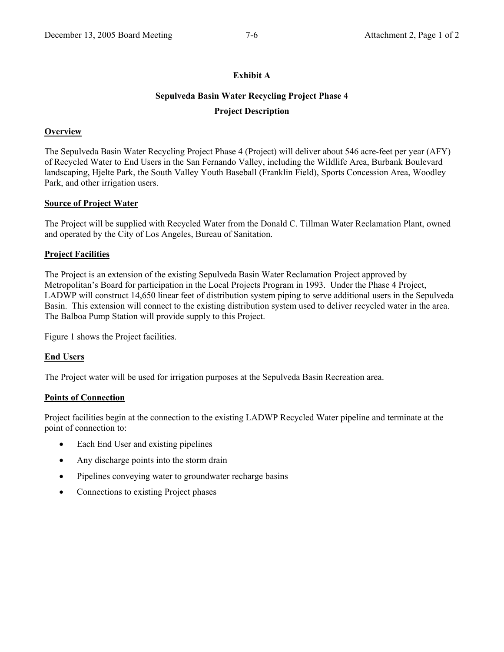#### **Exhibit A**

# **Sepulveda Basin Water Recycling Project Phase 4**

#### **Project Description**

#### **Overview**

The Sepulveda Basin Water Recycling Project Phase 4 (Project) will deliver about 546 acre-feet per year (AFY) of Recycled Water to End Users in the San Fernando Valley, including the Wildlife Area, Burbank Boulevard landscaping, Hjelte Park, the South Valley Youth Baseball (Franklin Field), Sports Concession Area, Woodley Park, and other irrigation users.

#### **Source of Project Water**

The Project will be supplied with Recycled Water from the Donald C. Tillman Water Reclamation Plant, owned and operated by the City of Los Angeles, Bureau of Sanitation.

#### **Project Facilities**

The Project is an extension of the existing Sepulveda Basin Water Reclamation Project approved by Metropolitan's Board for participation in the Local Projects Program in 1993. Under the Phase 4 Project, LADWP will construct 14,650 linear feet of distribution system piping to serve additional users in the Sepulveda Basin. This extension will connect to the existing distribution system used to deliver recycled water in the area. The Balboa Pump Station will provide supply to this Project.

Figure 1 shows the Project facilities.

#### **End Users**

The Project water will be used for irrigation purposes at the Sepulveda Basin Recreation area.

#### **Points of Connection**

Project facilities begin at the connection to the existing LADWP Recycled Water pipeline and terminate at the point of connection to:

- Each End User and existing pipelines
- Any discharge points into the storm drain
- Pipelines conveying water to groundwater recharge basins
- Connections to existing Project phases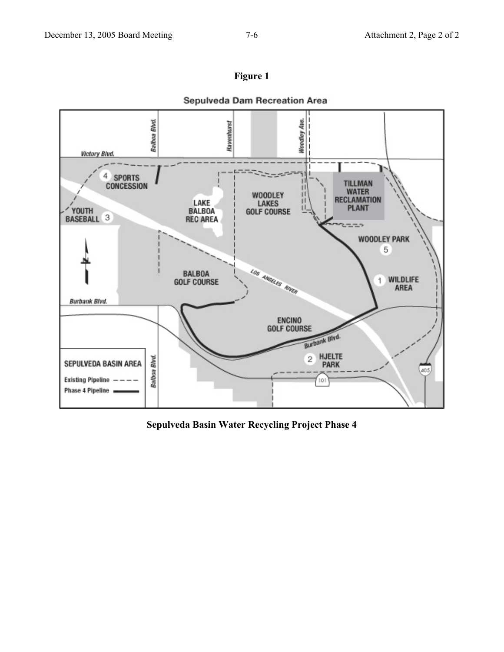

Sepulveda Dam Recreation Area



**Sepulveda Basin Water Recycling Project Phase 4**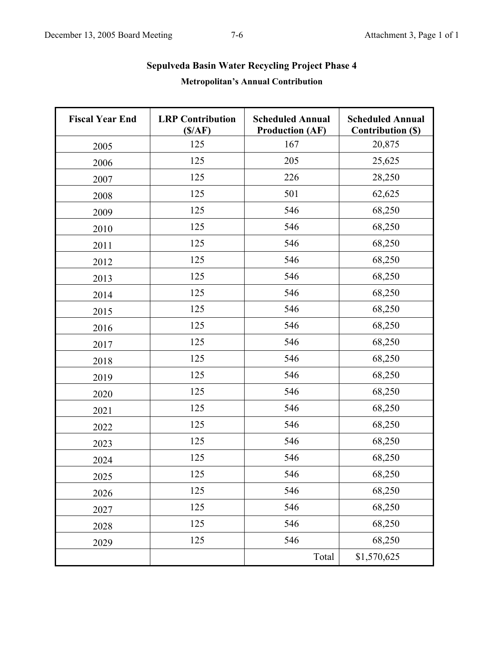| <b>Fiscal Year End</b> | <b>LRP</b> Contribution<br>(S/AF) | <b>Scheduled Annual</b><br><b>Production (AF)</b> | <b>Scheduled Annual</b><br><b>Contribution (\$)</b> |
|------------------------|-----------------------------------|---------------------------------------------------|-----------------------------------------------------|
| 2005                   | 125                               | 167                                               | 20,875                                              |
| 2006                   | 125                               | 205                                               | 25,625                                              |
| 2007                   | 125                               | 226                                               | 28,250                                              |
| 2008                   | 125                               | 501                                               | 62,625                                              |
| 2009                   | 125                               | 546                                               | 68,250                                              |
| 2010                   | 125                               | 546                                               | 68,250                                              |
| 2011                   | 125                               | 546                                               | 68,250                                              |
| 2012                   | 125                               | 546                                               | 68,250                                              |
| 2013                   | 125                               | 546                                               | 68,250                                              |
| 2014                   | 125                               | 546                                               | 68,250                                              |
| 2015                   | 125                               | 546                                               | 68,250                                              |
| 2016                   | 125                               | 546                                               | 68,250                                              |
| 2017                   | 125                               | 546                                               | 68,250                                              |
| 2018                   | 125                               | 546                                               | 68,250                                              |
| 2019                   | 125                               | 546                                               | 68,250                                              |
| 2020                   | 125                               | 546                                               | 68,250                                              |
| 2021                   | 125                               | 546                                               | 68,250                                              |
| 2022                   | 125                               | 546                                               | 68,250                                              |
| 2023                   | 125                               | 546                                               | 68,250                                              |
| 2024                   | 125                               | 546                                               | 68,250                                              |
| 2025                   | 125                               | 546                                               | 68,250                                              |
| 2026                   | 125                               | 546                                               | 68,250                                              |
| 2027                   | 125                               | 546                                               | 68,250                                              |
| 2028                   | 125                               | 546                                               | 68,250                                              |
| 2029                   | 125                               | 546                                               | 68,250                                              |
|                        |                                   | Total                                             | \$1,570,625                                         |

## **Sepulveda Basin Water Recycling Project Phase 4 Metropolitan's Annual Contribution**